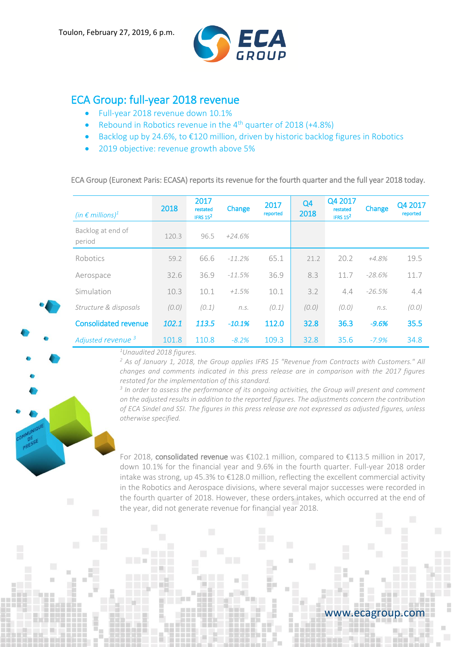

# ECA Group: full-year 2018 revenue

- Full-year 2018 revenue down 10.1%
- Rebound in Robotics revenue in the 4<sup>th</sup> quarter of 2018 (+4.8%)
- Backlog up by 24.6%, to  $£120$  million, driven by historic backlog figures in Robotics
- 2019 objective: revenue growth above 5%

ECA Group (Euronext Paris: ECASA) reports its revenue for the fourth quarter and the full year 2018 today.

| (in $\epsilon$ millions) <sup>1</sup> | 2018  | 2017<br>restated<br>IFRS $15^2$ | Change    | 2017<br>reported | Q <sub>4</sub><br>2018 | Q4 2017<br>restated<br>IFRS $15^2$ | Change   | Q4 2017<br>reported |
|---------------------------------------|-------|---------------------------------|-----------|------------------|------------------------|------------------------------------|----------|---------------------|
| Backlog at end of<br>period           | 120.3 | 96.5                            | $+24.6%$  |                  |                        |                                    |          |                     |
| Robotics                              | 59.2  | 66.6                            | $-11.2\%$ | 65.1             | 21.2                   | 20.2                               | +4.8%    | 19.5                |
| Aerospace                             | 32.6  | 36.9                            | $-11.5%$  | 36.9             | 8.3                    | 11.7                               | $-28.6%$ | 11.7                |
| Simulation                            | 10.3  | 10.1                            | $+1.5%$   | 10.1             | 3.2                    | 4.4                                | $-26.5%$ | 4.4                 |
| Structure & disposals                 | (0.0) | (0.1)                           | n.S.      | (0.1)            | (0.0)                  | (0.0)                              | n.S.     | (0.0)               |
| <b>Consolidated revenue</b>           | 102.1 | 113.5                           | $-10.1%$  | 112.0            | 32.8                   | 36.3                               | $-9.6%$  | 35.5                |
| Adjusted revenue <sup>3</sup>         | 101.8 | 110.8                           | $-8.2%$   | 109.3            | 32.8                   | 35.6                               | $-7.9%$  | 34.8                |

*<sup>1</sup>Unaudited 2018 figures.*

*<sup>2</sup> As of January 1, 2018, the Group applies IFRS 15 "Revenue from Contracts with Customers." All changes and comments indicated in this press release are in comparison with the 2017 figures restated for the implementation of this standard.*

*3 In order to assess the performance of its ongoing activities, the Group will present and comment on the adjusted results in addition to the reported figures. The adjustments concern the contribution of ECA Sindel and SSI. The figures in this press release are not expressed as adjusted figures, unless otherwise specified.*

For 2018, consolidated revenue was €102.1 million, compared to €113.5 million in 2017, down 10.1% for the financial year and 9.6% in the fourth quarter. Full-year 2018 order intake was strong, up 45.3% to €128.0 million, reflecting the excellent commercial activity in the Robotics and Aerospace divisions, where several major successes were recorded in the fourth quarter of 2018. However, these orders intakes, which occurred at the end of the year, did not generate revenue for financial year 2018.

# www.ecagroup.com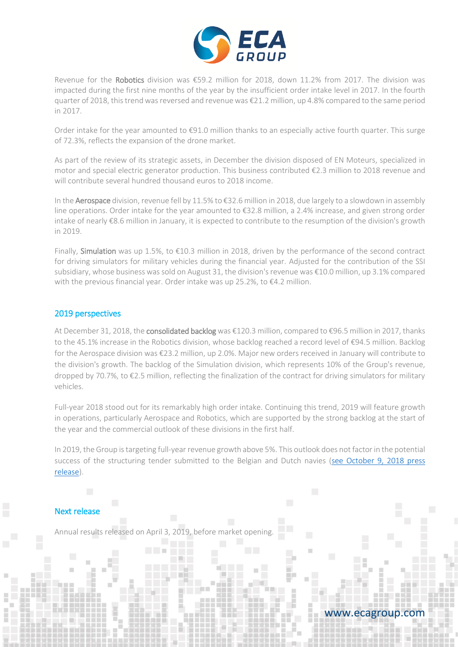

Revenue for the Robotics division was €59.2 million for 2018, down 11.2% from 2017. The division was impacted during the first nine months of the year by the insufficient order intake level in 2017. In the fourth quarter of 2018, this trend was reversed and revenue was €21.2 million, up 4.8% compared to the same period in 2017.

Order intake for the year amounted to €91.0 million thanks to an especially active fourth quarter. This surge of 72.3%, reflects the expansion of the drone market.

As part of the review of its strategic assets, in December the division disposed of EN Moteurs, specialized in motor and special electric generator production. This business contributed €2.3 million to 2018 revenue and will contribute several hundred thousand euros to 2018 income.

In the Aerospace division, revenue fell by 11.5% to €32.6 million in 2018, due largely to a slowdown in assembly line operations. Order intake for the year amounted to €32.8 million, a 2.4% increase, and given strong order intake of nearly €8.6 million in January, it is expected to contribute to the resumption of the division's growth in 2019.

Finally, Simulation was up 1.5%, to €10.3 million in 2018, driven by the performance of the second contract for driving simulators for military vehicles during the financial year. Adjusted for the contribution of the SSI subsidiary, whose business was sold on August 31, the division's revenue was €10.0 million, up 3.1% compared with the previous financial year. Order intake was up 25.2%, to €4.2 million.

## 2019 perspectives

At December 31, 2018, the consolidated backlog was €120.3 million, compared to €96.5 million in 2017, thanks to the 45.1% increase in the Robotics division, whose backlog reached a record level of €94.5 million. Backlog for the Aerospace division was €23.2 million, up 2.0%. Major new orders received in January will contribute to the division's growth. The backlog of the Simulation division, which represents 10% of the Group's revenue, dropped by 70.7%, to €2.5 million, reflecting the finalization of the contract for driving simulators for military vehicles.

Full-year 2018 stood out for its remarkably high order intake. Continuing this trend, 2019 will feature growth in operations, particularly Aerospace and Robotics, which are supported by the strong backlog at the start of the year and the commercial outlook of these divisions in the first half.

In 2019, the Group is targeting full-year revenue growth above 5%. This outlook does not factor in the potential success of the structuring tender submitted to the Belgian and Dutch navies [\(see October 9, 2018 press](https://www.ecagroup.com/en/financial/naval-group-and-eca-group-offer-an-innovative-mine-hunting-solution-to-belgium-and-the-netherlands)  [release\)](https://www.ecagroup.com/en/financial/naval-group-and-eca-group-offer-an-innovative-mine-hunting-solution-to-belgium-and-the-netherlands).

## Next release

Annual results released on April 3, 2019, before market opening.